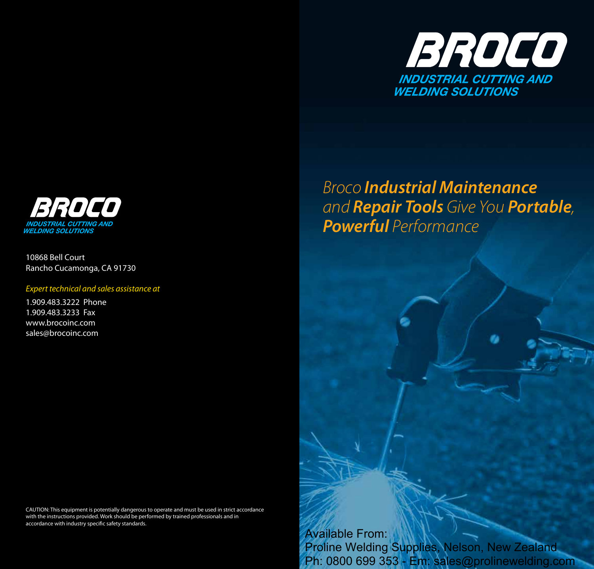

## BROCO **INDUSTRIAL CUTTING AND WELDING SOLUTIONS**

10868 Bell Court Rancho Cucamonga, CA 91730

#### *Expert technical and sales assistance at*

1.909.483.3222 Phone 1.909.483.3233 Fax www.brocoinc.com sales@brocoinc.com

# *Broco Industrial Maintenance and Repair Tools Give You Portable, Powerful Performance*

CAUTION: This equipment is potentially dangerous to operate and must be used in strict accordance with the instructions provided. Work should be performed by trained professionals and in accordance with industry specific safety standards.

> Available From: Proline Welding Supplies, Nelson, New Zealand Ph: 0800 699 353 - Em: sales@prolinewelding.com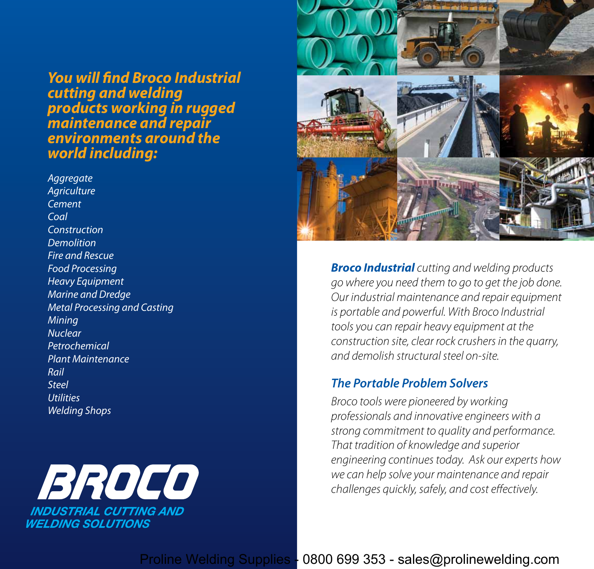*You will find Broco Industrial cutting and welding products working in rugged maintenance and repair environments around the world including:*

*Aggregate Agriculture Cement Coal Construction Demolition Fire and Rescue Food Processing Heavy Equipment Marine and Dredge Metal Processing and Casting Mining Nuclear Petrochemical Plant Maintenance Rail Steel Utilities Welding Shops*





*Broco Industrial cutting and welding products go where you need them to go to get the job done. Our industrial maintenance and repair equipment is portable and powerful. With Broco Industrial tools you can repair heavy equipment at the construction site, clear rock crushers in the quarry, and demolish structural steel on-site.* 

## *The Portable Problem Solvers*

*Broco tools were pioneered by working professionals and innovative engineers with a strong commitment to quality and performance. That tradition of knowledge and superior engineering continues today. Ask our experts how we can help solve your maintenance and repair challenges quickly, safely, and cost effectively.*

Proline Welding Supplies - 0800 699 353 - sales@prolinewelding.com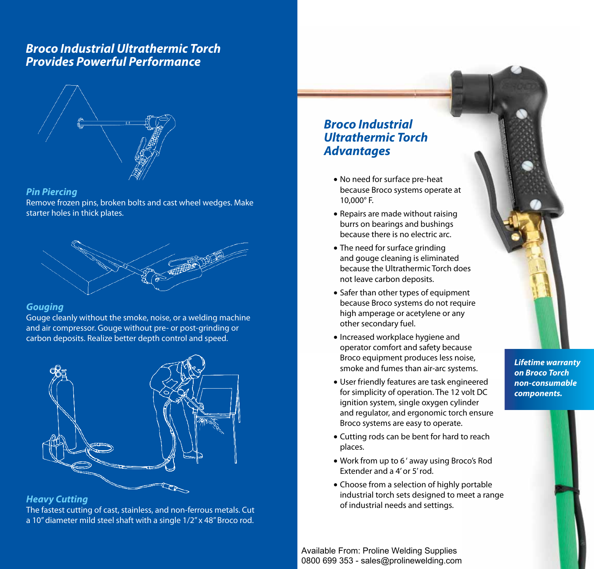## *Broco Industrial Ultrathermic Torch Provides Powerful Performance*



#### *Pin Piercing*

Remove frozen pins, broken bolts and cast wheel wedges. Make starter holes in thick plates.



#### *Gouging*

Gouge cleanly without the smoke, noise, or a welding machine and air compressor. Gouge without pre- or post-grinding or carbon deposits. Realize better depth control and speed.



#### *Heavy Cutting*

The fastest cutting of cast, stainless, and non-ferrous metals. Cut a 10" diameter mild steel shaft with a single 1/2" x 48" Broco rod.

## *Broco Industrial Ultrathermic Torch Advantages*

- No need for surface pre-heat because Broco systems operate at 10,000° F.
- Repairs are made without raising burrs on bearings and bushings because there is no electric arc.
- The need for surface grinding and gouge cleaning is eliminated because the Ultrathermic Torch does not leave carbon deposits.
- Safer than other types of equipment because Broco systems do not require high amperage or acetylene or any other secondary fuel.
- Increased workplace hygiene and operator comfort and safety because Broco equipment produces less noise, smoke and fumes than air-arc systems.
- • User friendly features are task engineered for simplicity of operation. The 12 volt DC ignition system, single oxygen cylinder and regulator, and ergonomic torch ensure Broco systems are easy to operate.
- Cutting rods can be bent for hard to reach places.
- Work from up to 6' away using Broco's Rod Extender and a 4' or 5' rod.
- Choose from a selection of highly portable industrial torch sets designed to meet a range of industrial needs and settings.

Available From: Proline Welding Supplies 0800 699 353 - sales@prolinewelding.com *Lifetime warranty on Broco Torch non-consumable components.*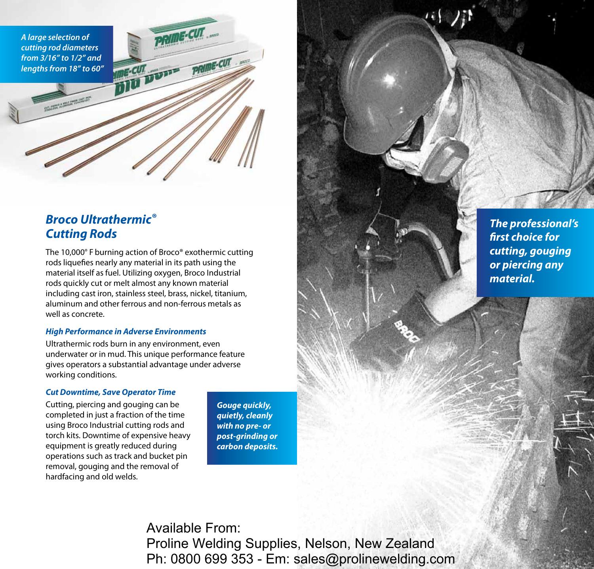*A large selection of cutting rod diameters from 3/16" to 1/2" and lengths from 18" to 60"*

## *Broco Ultrathermic® Cutting Rods*

The 10,000° F burning action of Broco® exothermic cutting rods liquefies nearly any material in its path using the material itself as fuel. Utilizing oxygen, Broco Industrial rods quickly cut or melt almost any known material including cast iron, stainless steel, brass, nickel, titanium, aluminum and other ferrous and non-ferrous metals as well as concrete.

#### *High Performance in Adverse Environments*

Ultrathermic rods burn in any environment, even underwater or in mud. This unique performance feature gives operators a substantial advantage under adverse working conditions.

#### *Cut Downtime, Save Operator Time*

Cutting, piercing and gouging can be completed in just a fraction of the time using Broco Industrial cutting rods and torch kits. Downtime of expensive heavy equipment is greatly reduced during operations such as track and bucket pin removal, gouging and the removal of hardfacing and old welds.

*Gouge quickly, quietly, cleanly with no pre- or post-grinding or carbon deposits.* 

Available From: Proline Welding Supplies, Nelson, New Zealand Ph: 0800 699 353 - Em: sales@prolinewelding.com *The professional's first choice for cutting, gouging or piercing any material.*

 $(1)$  ):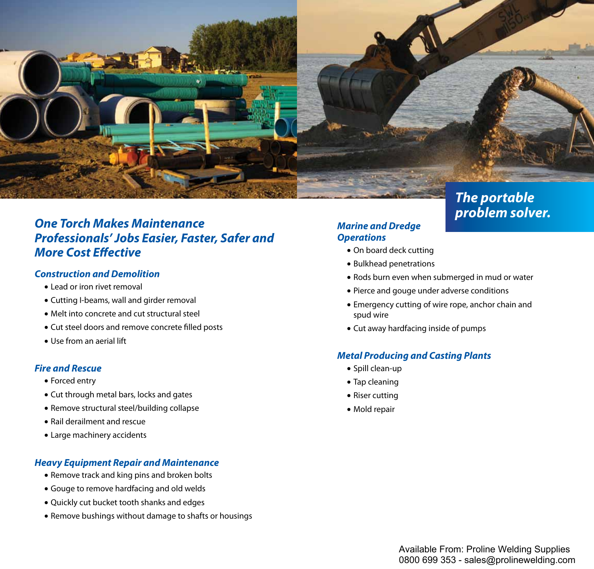

## *One Torch Makes Maintenance Professionals' Jobs Easier, Faster, Safer and More Cost Effective*

#### *Construction and Demolition*

- • Lead or iron rivet removal
- Cutting I-beams, wall and girder removal
- Melt into concrete and cut structural steel
- Cut steel doors and remove concrete filled posts
- Use from an aerial lift

#### *Fire and Rescue*

- Forced entry
- Cut through metal bars, locks and gates
- Remove structural steel/building collapse
- Rail derailment and rescue
- Large machinery accidents

#### *Heavy Equipment Repair and Maintenance*

- Remove track and king pins and broken bolts
- Gouge to remove hardfacing and old welds
- Quickly cut bucket tooth shanks and edges
- Remove bushings without damage to shafts or housings

## *Marine and Dredge Operations*

- On board deck cutting
- Bulkhead penetrations
- Rods burn even when submerged in mud or water

*problem solver.*

- Pierce and gouge under adverse conditions
- Emergency cutting of wire rope, anchor chain and spud wire
- Cut away hardfacing inside of pumps

#### *Metal Producing and Casting Plants*

- • Spill clean-up
- • Tap cleaning
- Riser cutting
- • Mold repair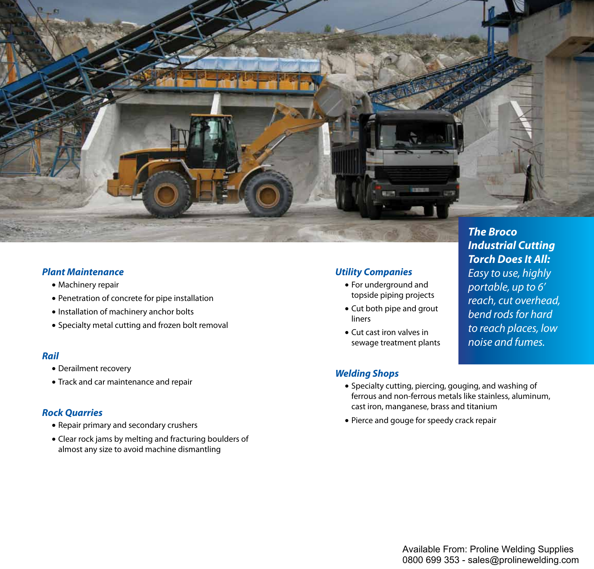

#### *Plant Maintenance*

- Machinery repair
- Penetration of concrete for pipe installation
- Installation of machinery anchor bolts
- Specialty metal cutting and frozen bolt removal

#### *Rail*

- Derailment recovery
- Track and car maintenance and repair

#### *Rock Quarries*

- • Repair primary and secondary crushers
- Clear rock jams by melting and fracturing boulders of almost any size to avoid machine dismantling

#### *Utility Companies*

- • For underground and topside piping projects
- Cut both pipe and grout liners
- Cut cast iron valves in sewage treatment plants

*Industrial Cutting Torch Does It All: Easy to use, highly portable, up to 6' reach, cut overhead, bend rods for hard to reach places, low noise and fumes.*

### *Welding Shops*

- • Specialty cutting, piercing, gouging, and washing of ferrous and non-ferrous metals like stainless, aluminum, cast iron, manganese, brass and titanium
- Pierce and gouge for speedy crack repair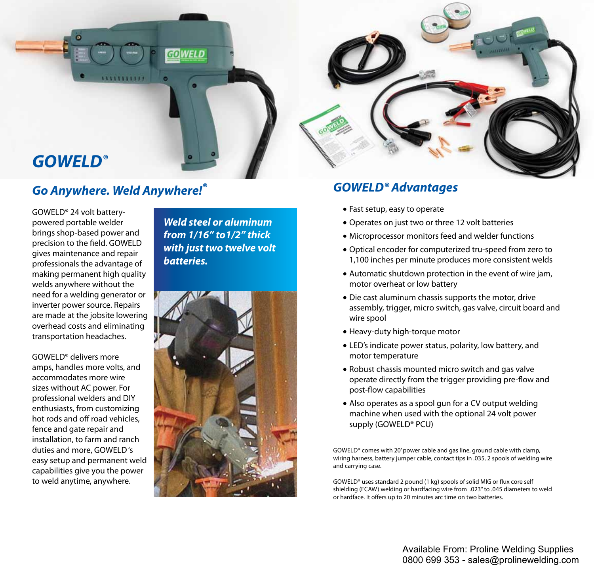

# *GOWELD®*

# *Go Anywhere. Weld Anywhere!®*

GOWELD® 24 volt batterypowered portable welder brings shop-based power and precision to the field. GOWELD gives maintenance and repair professionals the advantage of making permanent high quality welds anywhere without the need for a welding generator or inverter power source. Repairs are made at the jobsite lowering overhead costs and eliminating transportation headaches.

GOWELD® delivers more amps, handles more volts, and accommodates more wire sizes without AC power. For professional welders and DIY enthusiasts, from customizing hot rods and off road vehicles, fence and gate repair and installation, to farm and ranch duties and more, GOWELD 's easy setup and permanent weld capabilities give you the power to weld anytime, anywhere.

*Weld steel or aluminum from 1/16" to1/2" thick with just two twelve volt batteries.*





## *GOWELD® Advantages*

- Fast setup, easy to operate
- Operates on just two or three 12 volt batteries
- Microprocessor monitors feed and welder functions
- Optical encoder for computerized tru-speed from zero to 1,100 inches per minute produces more consistent welds
- Automatic shutdown protection in the event of wire jam, motor overheat or low battery
- Die cast aluminum chassis supports the motor, drive assembly, trigger, micro switch, gas valve, circuit board and wire spool
- Heavy-duty high-torque motor
- LED's indicate power status, polarity, low battery, and motor temperature
- Robust chassis mounted micro switch and gas valve operate directly from the trigger providing pre-flow and post-flow capabilities
- Also operates as a spool gun for a CV output welding machine when used with the optional 24 volt power supply (GOWELD® PCU)

GOWELD® comes with 20' power cable and gas line, ground cable with clamp, wiring harness, battery jumper cable, contact tips in .035, 2 spools of welding wire and carrying case.

GOWELD® uses standard 2 pound (1 kg) spools of solid MIG or flux core self shielding (FCAW) welding or hardfacing wire from .023" to .045 diameters to weld or hardface. It offers up to 20 minutes arc time on two batteries.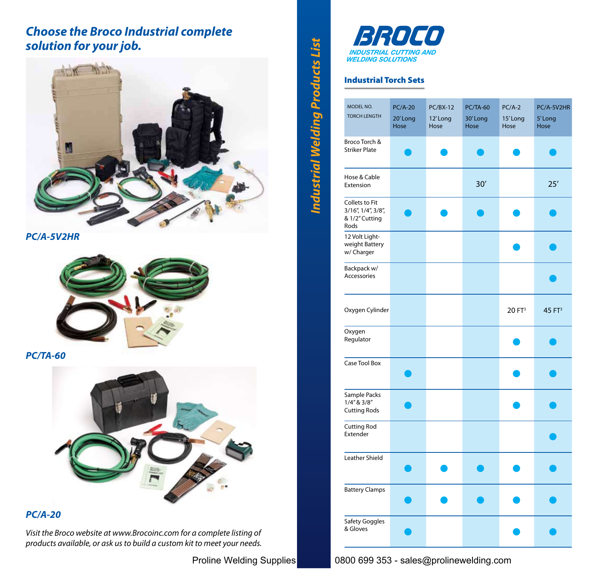## *Choose the Broco Industrial complete solution for your job.*



*PC/A-5V2HR*



*PC/TA-60*



## *PC/A-20*

*Visit the Broco website at www.Brocoinc.com for a complete listing of products available, or ask us to build a custom kit to meet your needs.*



#### Industrial Torch Sets

*Industrial Welding Products List*

**Industrial Welding Products List** 

| MODEL NO.<br><b>TORCH LENGTH</b>                               | <b>PC/A-20</b><br>20'Long<br>Hose | $PC/BX-12$<br>12'Long<br>Hose | <b>PC/TA-60</b><br>30'Long<br>Hose | $PC/A-2$<br>15'Long<br>Hose | PC/A-5V2HR<br>5'Long<br>Hose |
|----------------------------------------------------------------|-----------------------------------|-------------------------------|------------------------------------|-----------------------------|------------------------------|
| Broco Torch &<br><b>Striker Plate</b>                          |                                   |                               |                                    |                             |                              |
| Hose & Cable<br>Extension                                      |                                   |                               | 30'                                |                             | 25'                          |
| Collets to Fit<br>3/16", 1/4", 3/8",<br>& 1/2" Cutting<br>Rods |                                   |                               |                                    |                             |                              |
| 12 Volt Light-<br>weight Battery<br>w/ Charger                 |                                   |                               |                                    |                             |                              |
| Backpack w/<br>Accessories                                     |                                   |                               |                                    |                             |                              |
| Oxygen Cylinder                                                |                                   |                               |                                    | 20 FT <sup>3</sup>          | 45 FT <sup>3</sup>           |
| Oxygen<br>Regulator                                            |                                   |                               |                                    |                             |                              |
| Case Tool Box                                                  |                                   |                               |                                    |                             |                              |
| Sample Packs<br>$1/4''$ & $3/8''$<br><b>Cutting Rods</b>       |                                   |                               |                                    |                             |                              |
| <b>Cutting Rod</b><br>Extender                                 |                                   |                               |                                    |                             |                              |
| Leather Shield                                                 |                                   |                               |                                    |                             |                              |
| <b>Battery Clamps</b>                                          |                                   |                               |                                    |                             |                              |
| Safety Goggles<br>& Gloves                                     |                                   |                               |                                    |                             |                              |

Proline Welding Supplies 0800 699 353 - sales@prolinewelding.com